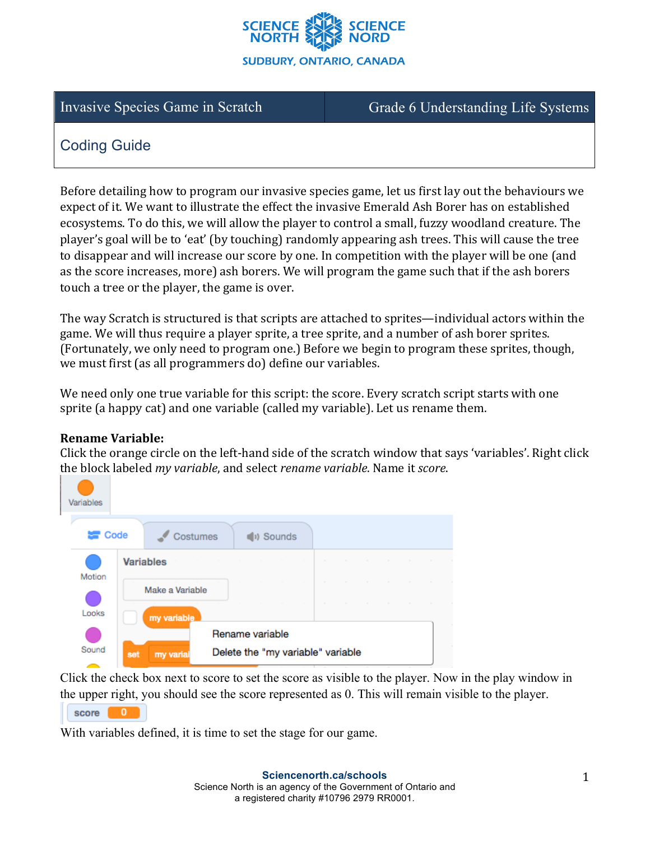

Invasive Species Game in Scratch Grade 6 Understanding Life Systems

# Coding Guide

Before detailing how to program our invasive species game, let us first lay out the behaviours we expect of it. We want to illustrate the effect the invasive Emerald Ash Borer has on established ecosystems. To do this, we will allow the player to control a small, fuzzy woodland creature. The player's goal will be to 'eat' (by touching) randomly appearing ash trees. This will cause the tree to disappear and will increase our score by one. In competition with the player will be one (and as the score increases, more) ash borers. We will program the game such that if the ash borers touch a tree or the player, the game is over.

The way Scratch is structured is that scripts are attached to sprites—individual actors within the game. We will thus require a player sprite, a tree sprite, and a number of ash borer sprites. (Fortunately, we only need to program one.) Before we begin to program these sprites, though, we must first (as all programmers do) define our variables.

We need only one true variable for this script: the score. Every scratch script starts with one sprite (a happy cat) and one variable (called my variable). Let us rename them.

# **Rename Variable:**

Click the orange circle on the left-hand side of the scratch window that says 'variables'. Right click the block labeled *my variable*, and select *rename variable*. Name it *score*.



Click the check box next to score to set the score as visible to the player. Now in the play window in the upper right, you should see the score represented as 0. This will remain visible to the player.

score

With variables defined, it is time to set the stage for our game.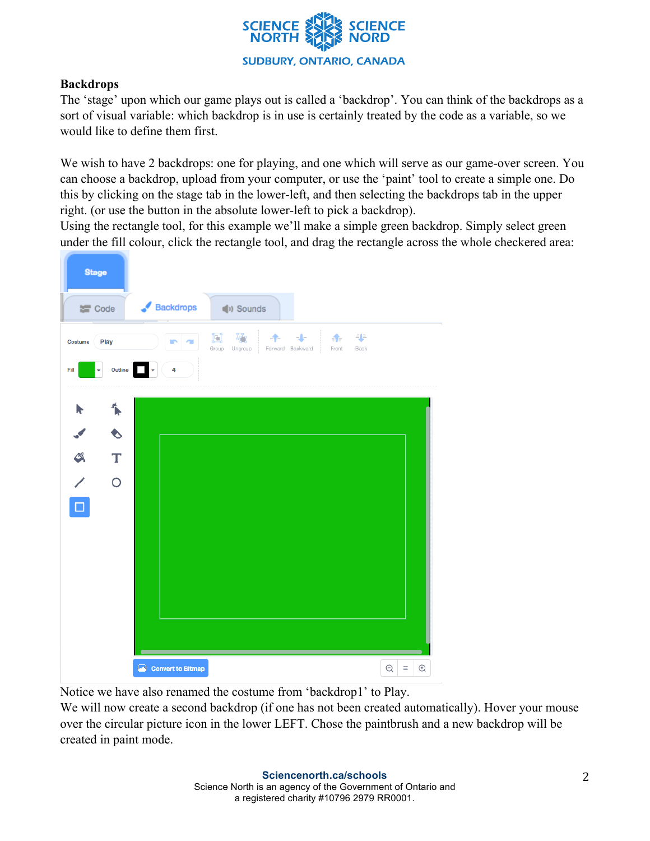

# **Backdrops**

The 'stage' upon which our game plays out is called a 'backdrop'. You can think of the backdrops as a sort of visual variable: which backdrop is in use is certainly treated by the code as a variable, so we would like to define them first.

We wish to have 2 backdrops: one for playing, and one which will serve as our game-over screen. You can choose a backdrop, upload from your computer, or use the 'paint' tool to create a simple one. Do this by clicking on the stage tab in the lower-left, and then selecting the backdrops tab in the upper right. (or use the button in the absolute lower-left to pick a backdrop).

Using the rectangle tool, for this example we'll make a simple green backdrop. Simply select green under the fill colour, click the rectangle tool, and drag the rectangle across the whole checkered area:

| <b>Stage</b>                        |                                                                                             |
|-------------------------------------|---------------------------------------------------------------------------------------------|
| Code                                | $\triangleleft$ Backdrops<br>(b) Sounds                                                     |
| Play<br>Costume                     | 非<br>O<br>$\bullet$<br>-l-<br>-11-<br>Front<br>Group<br>Ungroup<br>Forward Backward<br>Back |
| Outline<br>÷<br>Fill                | 4<br>$\overline{\phantom{0}}$                                                               |
| ∱                                   |                                                                                             |
| ♦<br>ℐ                              |                                                                                             |
| $\mathbf T$<br>$\clubsuit$          |                                                                                             |
| $\circ$<br>$\overline{\mathscr{S}}$ |                                                                                             |
| $\overline{\square}$                |                                                                                             |
|                                     |                                                                                             |
|                                     |                                                                                             |
|                                     |                                                                                             |
|                                     |                                                                                             |
|                                     |                                                                                             |
|                                     | $\odot$<br>$\mathbin{\odot}$<br>$\equiv$<br>Convert to Bitmap                               |

Notice we have also renamed the costume from 'backdrop1' to Play.

We will now create a second backdrop (if one has not been created automatically). Hover your mouse over the circular picture icon in the lower LEFT. Chose the paintbrush and a new backdrop will be created in paint mode.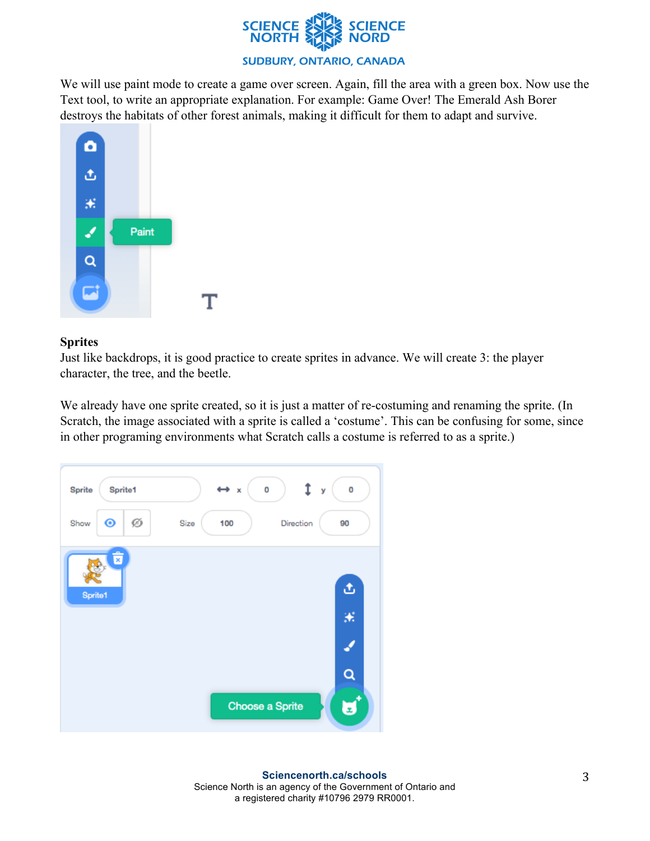

We will use paint mode to create a game over screen. Again, fill the area with a green box. Now use the Text tool, to write an appropriate explanation. For example: Game Over! The Emerald Ash Borer destroys the habitats of other forest animals, making it difficult for them to adapt and survive.



### **Sprites**

Just like backdrops, it is good practice to create sprites in advance. We will create 3: the player character, the tree, and the beetle.

We already have one sprite created, so it is just a matter of re-costuming and renaming the sprite. (In Scratch, the image associated with a sprite is called a 'costume'. This can be confusing for some, since in other programing environments what Scratch calls a costume is referred to as a sprite.)

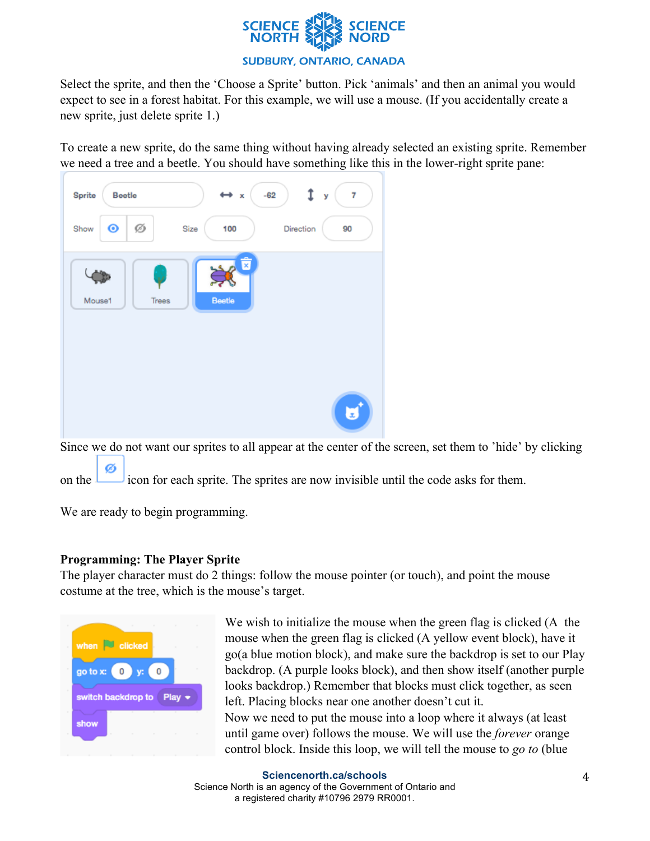

Select the sprite, and then the 'Choose a Sprite' button. Pick 'animals' and then an animal you would expect to see in a forest habitat. For this example, we will use a mouse. (If you accidentally create a new sprite, just delete sprite 1.)

To create a new sprite, do the same thing without having already selected an existing sprite. Remember we need a tree and a beetle. You should have something like this in the lower-right sprite pane:

| Sprite<br><b>Beetle</b> | $-62$<br>$\leftrightarrow$ x | $\overline{7}$<br>У |
|-------------------------|------------------------------|---------------------|
| $\odot$<br>Ø<br>Show    | Size<br>100                  | Direction<br>90     |
|                         | छि                           |                     |
| Mouse1<br>Trees         | Beetle                       |                     |
|                         |                              |                     |
|                         |                              |                     |
|                         |                              | U                   |

Since we do not want our sprites to all appear at the center of the screen, set them to 'hide' by clicking on the icon for each sprite. The sprites are now invisible until the code asks for them.

We are ready to begin programming.

### **Programming: The Player Sprite**

The player character must do 2 things: follow the mouse pointer (or touch), and point the mouse costume at the tree, which is the mouse's target.



We wish to initialize the mouse when the green flag is clicked (A the mouse when the green flag is clicked (A yellow event block), have it go(a blue motion block), and make sure the backdrop is set to our Play backdrop. (A purple looks block), and then show itself (another purple looks backdrop.) Remember that blocks must click together, as seen left. Placing blocks near one another doesn't cut it. Now we need to put the mouse into a loop where it always (at least

until game over) follows the mouse. We will use the *forever* orange control block. Inside this loop, we will tell the mouse to *go to* (blue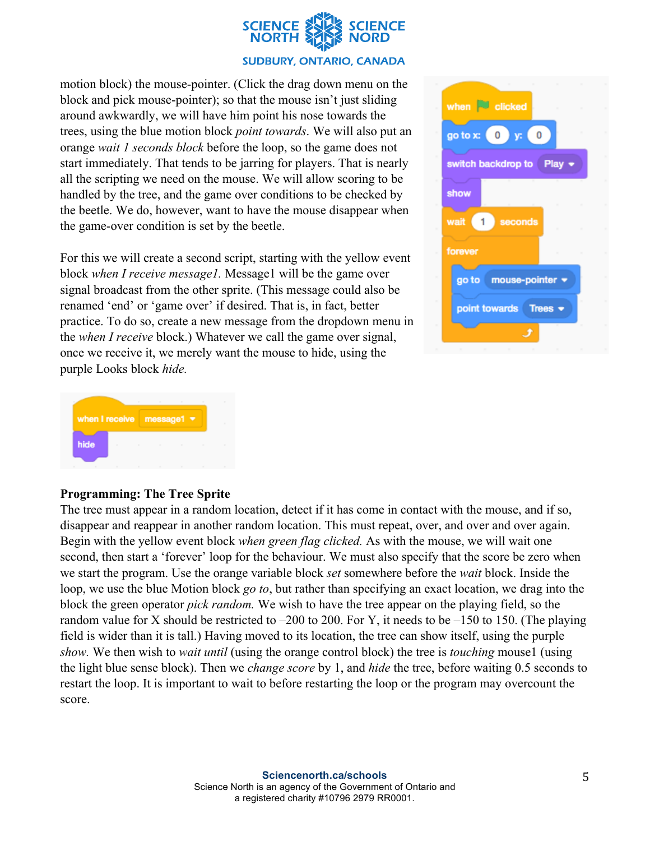

# **SUDBURY, ONTARIO, CANADA**

motion block) the mouse-pointer. (Click the drag down menu on the block and pick mouse-pointer); so that the mouse isn't just sliding around awkwardly, we will have him point his nose towards the trees, using the blue motion block *point towards*. We will also put an orange *wait 1 seconds block* before the loop, so the game does not start immediately. That tends to be jarring for players. That is nearly all the scripting we need on the mouse. We will allow scoring to be handled by the tree, and the game over conditions to be checked by the beetle. We do, however, want to have the mouse disappear when the game-over condition is set by the beetle.

For this we will create a second script, starting with the yellow event block *when I receive message1.* Message1 will be the game over signal broadcast from the other sprite. (This message could also be renamed 'end' or 'game over' if desired. That is, in fact, better practice. To do so, create a new message from the dropdown menu in the *when I receive* block.) Whatever we call the game over signal, once we receive it, we merely want the mouse to hide, using the purple Looks block *hide.*





### **Programming: The Tree Sprite**

The tree must appear in a random location, detect if it has come in contact with the mouse, and if so, disappear and reappear in another random location. This must repeat, over, and over and over again. Begin with the yellow event block *when green flag clicked.* As with the mouse, we will wait one second, then start a 'forever' loop for the behaviour. We must also specify that the score be zero when we start the program. Use the orange variable block *set* somewhere before the *wait* block. Inside the loop, we use the blue Motion block *go to*, but rather than specifying an exact location, we drag into the block the green operator *pick random.* We wish to have the tree appear on the playing field, so the random value for X should be restricted to –200 to 200. For Y, it needs to be –150 to 150. (The playing field is wider than it is tall.) Having moved to its location, the tree can show itself, using the purple *show.* We then wish to *wait until* (using the orange control block) the tree is *touching* mouse1 (using the light blue sense block). Then we *change score* by 1, and *hide* the tree, before waiting 0.5 seconds to restart the loop. It is important to wait to before restarting the loop or the program may overcount the score.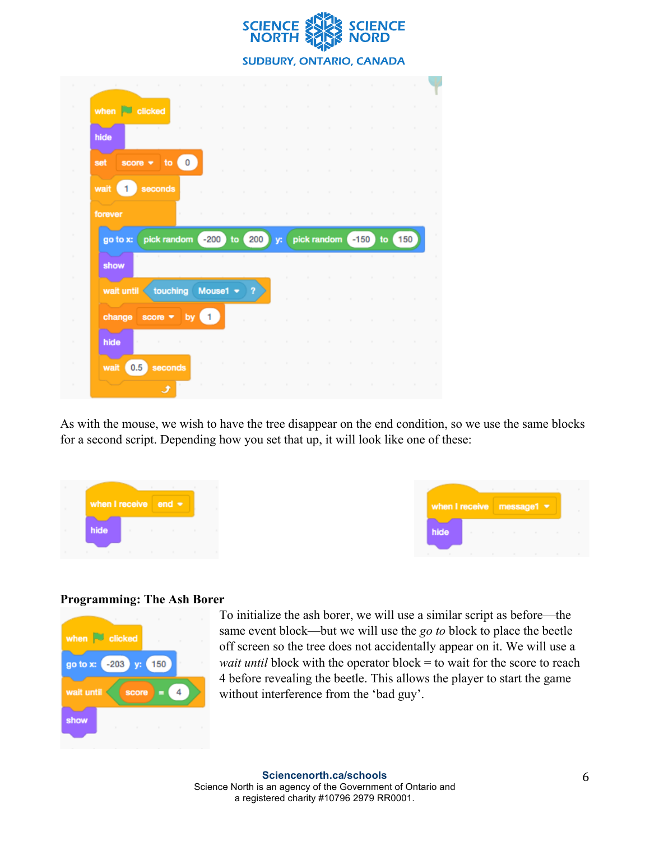|                                      |          |                |                                 | <b>NOKIH</b> | <b>ALL'S NORD</b> |          |    |     |  |
|--------------------------------------|----------|----------------|---------------------------------|--------------|-------------------|----------|----|-----|--|
|                                      |          |                | <b>SUDBURY, ONTARIO, CANADA</b> |              |                   |          |    |     |  |
|                                      |          |                |                                 |              |                   |          |    |     |  |
| when <b>U</b> clicked                |          |                |                                 |              |                   |          |    |     |  |
| hide                                 |          |                |                                 |              |                   |          |    |     |  |
| to<br>set<br>score $\sqrt{*}$        | 0        |                |                                 |              |                   |          |    |     |  |
| seconds<br>$\blacksquare$<br>wait    |          |                |                                 |              |                   |          |    |     |  |
| forever                              |          |                |                                 |              |                   |          |    |     |  |
| pick random<br>go to x:              |          | $-200$<br>to   | 200                             | y:           | pick random       | $(-150)$ | to | 150 |  |
| show                                 |          |                |                                 | -            |                   |          |    |     |  |
| wait until                           | touching | Mouse1 $\star$ | 2                               |              |                   |          |    |     |  |
| change<br>score $\blacktriangledown$ | by       | $\overline{1}$ |                                 |              |                   |          |    |     |  |
| hide                                 |          |                |                                 |              |                   |          |    |     |  |
| 0.5<br>wait<br>seconds               |          |                |                                 |              |                   |          |    |     |  |
|                                      |          |                |                                 |              |                   |          |    |     |  |

As with the mouse, we wish to have the tree disappear on the end condition, so we use the same blocks for a second script. Depending how you set that up, it will look like one of these:

**SCIENCE & SCIENCE** 

|                              | .                                                                         |  |
|------------------------------|---------------------------------------------------------------------------|--|
| when I receive $end \bullet$ | when I receive $\overline{\phantom{a}}$ message1 $\overline{\phantom{a}}$ |  |
| hide                         | hide<br>the contract of the contract of the<br><b>STATE</b>               |  |
|                              | .                                                                         |  |

#### **Programming: The Ash Borer**

| $\mathcal{M}$<br>٠    | ×                                        | ٠      |   |
|-----------------------|------------------------------------------|--------|---|
| when clicked          | $\sim$                                   | ٠      | ٠ |
| $-203$ y:<br>go to x: | 150                                      | ٠      | ٠ |
| wait until<br>score   | ▬                                        |        |   |
| show<br>٠             | the contract of the contract of the con- | $\sim$ | ٠ |

To initialize the ash borer, we will use a similar script as before—the same event block—but we will use the *go to* block to place the beetle off screen so the tree does not accidentally appear on it. We will use a *wait until* block with the operator block = to wait for the score to reach 4 before revealing the beetle. This allows the player to start the game without interference from the 'bad guy'.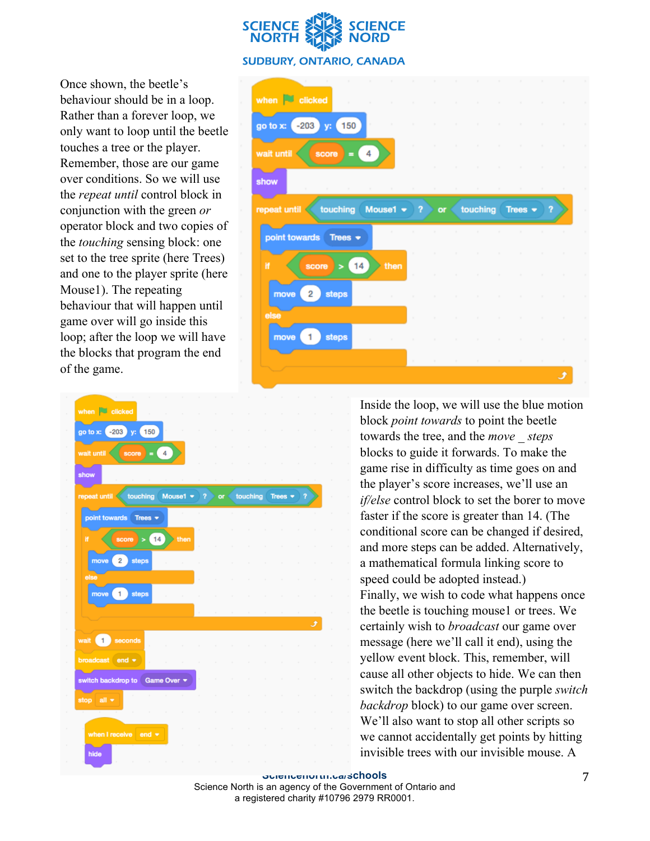

Once shown, the beetle's behaviour should be in a loop. Rather than a forever loop, we only want to loop until the beetle touches a tree or the player. Remember, those are our game over conditions. So we will use the *repeat until* control block in conjunction with the green *or* operator block and two copies of the *touching* sensing block: one set to the tree sprite (here Trees) and one to the player sprite (here Mouse1). The repeating behaviour that will happen until game over will go inside this loop; after the loop we will have the blocks that program the end of the game.





Inside the loop, we will use the blue motion block *point towards* to point the beetle towards the tree, and the *move \_ steps* blocks to guide it forwards. To make the game rise in difficulty as time goes on and the player's score increases, we'll use an *if/else* control block to set the borer to move faster if the score is greater than 14. (The conditional score can be changed if desired, and more steps can be added. Alternatively, a mathematical formula linking score to speed could be adopted instead.) Finally, we wish to code what happens once the beetle is touching mouse1 or trees. We certainly wish to *broadcast* our game over message (here we'll call it end), using the yellow event block. This, remember, will cause all other objects to hide. We can then switch the backdrop (using the purple *switch backdrop* block) to our game over screen. We'll also want to stop all other scripts so we cannot accidentally get points by hitting invisible trees with our invisible mouse. A

**Sciencenorth.ca/schools** Science North is an agency of the Government of Ontario and a registered charity #10796 2979 RR0001.